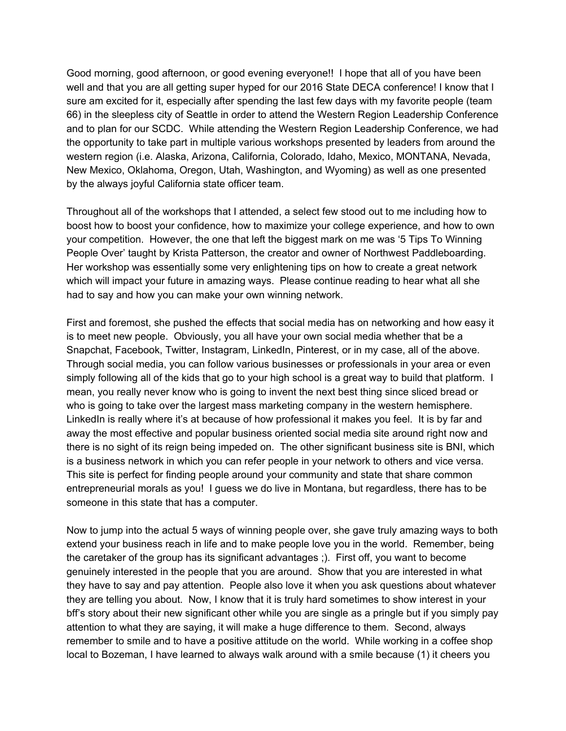Good morning, good afternoon, or good evening everyone!! I hope that all of you have been well and that you are all getting super hyped for our 2016 State DECA conference! I know that I sure am excited for it, especially after spending the last few days with my favorite people (team 66) in the sleepless city of Seattle in order to attend the Western Region Leadership Conference and to plan for our SCDC. While attending the Western Region Leadership Conference, we had the opportunity to take part in multiple various workshops presented by leaders from around the western region (i.e. Alaska, Arizona, California, Colorado, Idaho, Mexico, MONTANA, Nevada, New Mexico, Oklahoma, Oregon, Utah, Washington, and Wyoming) as well as one presented by the always joyful California state officer team.

Throughout all of the workshops that I attended, a select few stood out to me including how to boost how to boost your confidence, how to maximize your college experience, and how to own your competition. However, the one that left the biggest mark on me was '5 Tips To Winning People Over' taught by Krista Patterson, the creator and owner of Northwest Paddleboarding. Her workshop was essentially some very enlightening tips on how to create a great network which will impact your future in amazing ways. Please continue reading to hear what all she had to say and how you can make your own winning network.

First and foremost, she pushed the effects that social media has on networking and how easy it is to meet new people. Obviously, you all have your own social media whether that be a Snapchat, Facebook, Twitter, Instagram, LinkedIn, Pinterest, or in my case, all of the above. Through social media, you can follow various businesses or professionals in your area or even simply following all of the kids that go to your high school is a great way to build that platform. I mean, you really never know who is going to invent the next best thing since sliced bread or who is going to take over the largest mass marketing company in the western hemisphere. LinkedIn is really where it's at because of how professional it makes you feel. It is by far and away the most effective and popular business oriented social media site around right now and there is no sight of its reign being impeded on. The other significant business site is BNI, which is a business network in which you can refer people in your network to others and vice versa. This site is perfect for finding people around your community and state that share common entrepreneurial morals as you! I guess we do live in Montana, but regardless, there has to be someone in this state that has a computer.

Now to jump into the actual 5 ways of winning people over, she gave truly amazing ways to both extend your business reach in life and to make people love you in the world. Remember, being the caretaker of the group has its significant advantages ;). First off, you want to become genuinely interested in the people that you are around. Show that you are interested in what they have to say and pay attention. People also love it when you ask questions about whatever they are telling you about. Now, I know that it is truly hard sometimes to show interest in your bff's story about their new significant other while you are single as a pringle but if you simply pay attention to what they are saying, it will make a huge difference to them. Second, always remember to smile and to have a positive attitude on the world. While working in a coffee shop local to Bozeman, I have learned to always walk around with a smile because (1) it cheers you